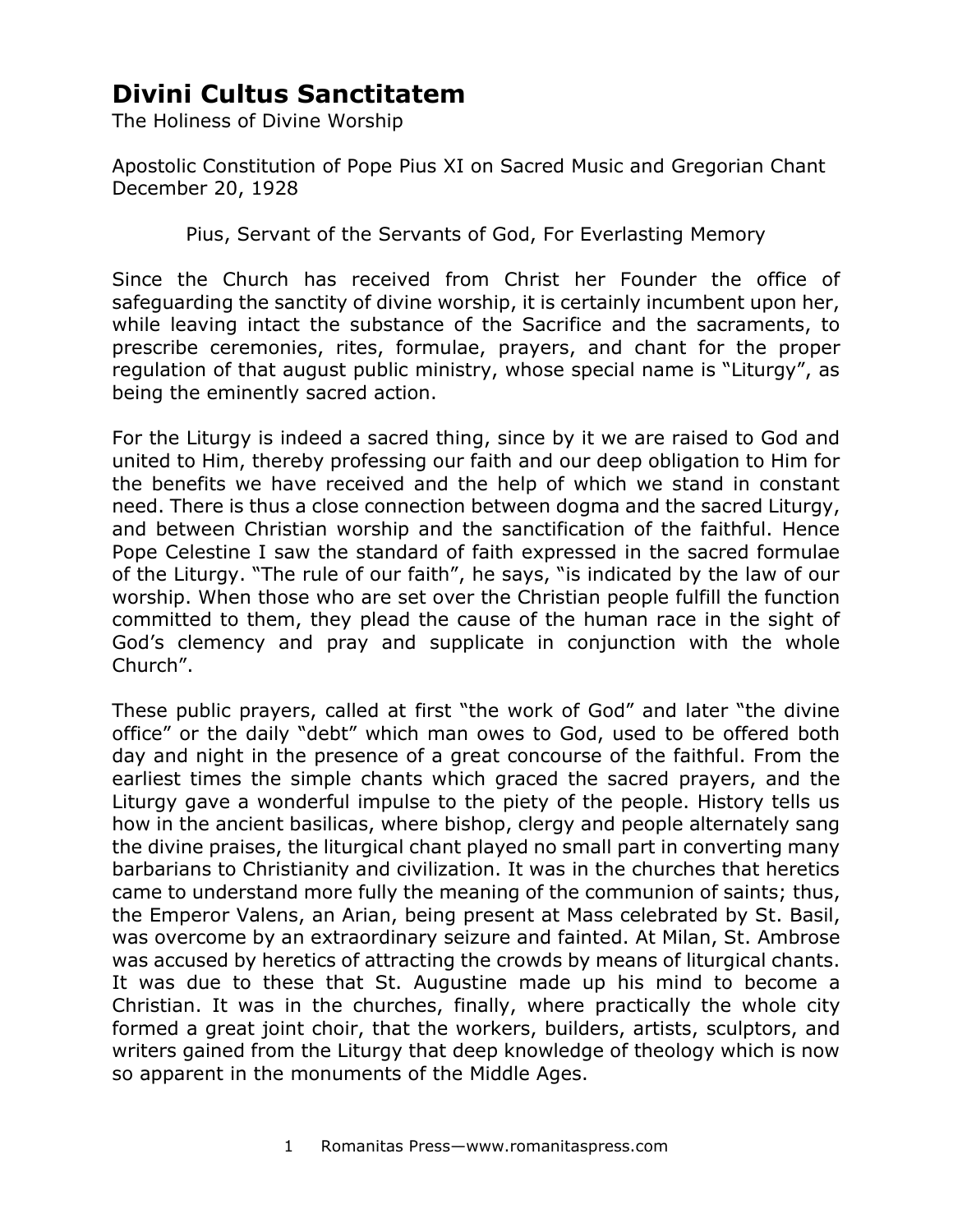## **Divini Cultus Sanctitatem**

The Holiness of Divine Worship

Apostolic Constitution of Pope Pius XI on Sacred Music and Gregorian Chant December 20, 1928

Pius, Servant of the Servants of God, For Everlasting Memory

Since the Church has received from Christ her Founder the office of safeguarding the sanctity of divine worship, it is certainly incumbent upon her, while leaving intact the substance of the Sacrifice and the sacraments, to prescribe ceremonies, rites, formulae, prayers, and chant for the proper regulation of that august public ministry, whose special name is "Liturgy", as being the eminently sacred action.

For the Liturgy is indeed a sacred thing, since by it we are raised to God and united to Him, thereby professing our faith and our deep obligation to Him for the benefits we have received and the help of which we stand in constant need. There is thus a close connection between dogma and the sacred Liturgy, and between Christian worship and the sanctification of the faithful. Hence Pope Celestine I saw the standard of faith expressed in the sacred formulae of the Liturgy. "The rule of our faith", he says, "is indicated by the law of our worship. When those who are set over the Christian people fulfill the function committed to them, they plead the cause of the human race in the sight of God's clemency and pray and supplicate in conjunction with the whole Church".

These public prayers, called at first "the work of God" and later "the divine office" or the daily "debt" which man owes to God, used to be offered both day and night in the presence of a great concourse of the faithful. From the earliest times the simple chants which graced the sacred prayers, and the Liturgy gave a wonderful impulse to the piety of the people. History tells us how in the ancient basilicas, where bishop, clergy and people alternately sang the divine praises, the liturgical chant played no small part in converting many barbarians to Christianity and civilization. It was in the churches that heretics came to understand more fully the meaning of the communion of saints; thus, the Emperor Valens, an Arian, being present at Mass celebrated by St. Basil, was overcome by an extraordinary seizure and fainted. At Milan, St. Ambrose was accused by heretics of attracting the crowds by means of liturgical chants. It was due to these that St. Augustine made up his mind to become a Christian. It was in the churches, finally, where practically the whole city formed a great joint choir, that the workers, builders, artists, sculptors, and writers gained from the Liturgy that deep knowledge of theology which is now so apparent in the monuments of the Middle Ages.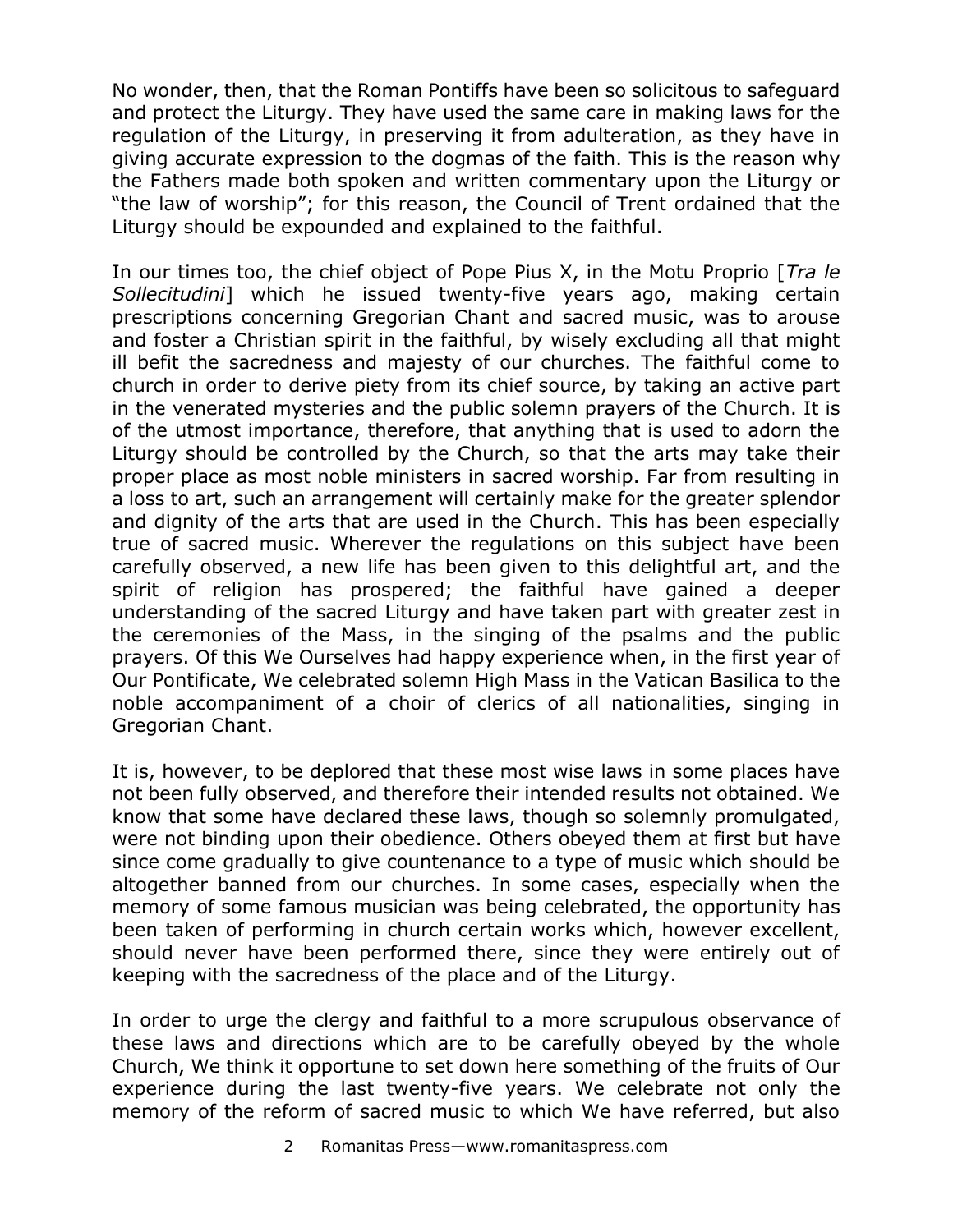No wonder, then, that the Roman Pontiffs have been so solicitous to safeguard and protect the Liturgy. They have used the same care in making laws for the regulation of the Liturgy, in preserving it from adulteration, as they have in giving accurate expression to the dogmas of the faith. This is the reason why the Fathers made both spoken and written commentary upon the Liturgy or "the law of worship"; for this reason, the Council of Trent ordained that the Liturgy should be expounded and explained to the faithful.

In our times too, the chief object of Pope Pius X, in the Motu Proprio [*Tra le Sollecitudini*] which he issued twenty-five years ago, making certain prescriptions concerning Gregorian Chant and sacred music, was to arouse and foster a Christian spirit in the faithful, by wisely excluding all that might ill befit the sacredness and majesty of our churches. The faithful come to church in order to derive piety from its chief source, by taking an active part in the venerated mysteries and the public solemn prayers of the Church. It is of the utmost importance, therefore, that anything that is used to adorn the Liturgy should be controlled by the Church, so that the arts may take their proper place as most noble ministers in sacred worship. Far from resulting in a loss to art, such an arrangement will certainly make for the greater splendor and dignity of the arts that are used in the Church. This has been especially true of sacred music. Wherever the regulations on this subject have been carefully observed, a new life has been given to this delightful art, and the spirit of religion has prospered; the faithful have gained a deeper understanding of the sacred Liturgy and have taken part with greater zest in the ceremonies of the Mass, in the singing of the psalms and the public prayers. Of this We Ourselves had happy experience when, in the first year of Our Pontificate, We celebrated solemn High Mass in the Vatican Basilica to the noble accompaniment of a choir of clerics of all nationalities, singing in Gregorian Chant.

It is, however, to be deplored that these most wise laws in some places have not been fully observed, and therefore their intended results not obtained. We know that some have declared these laws, though so solemnly promulgated, were not binding upon their obedience. Others obeyed them at first but have since come gradually to give countenance to a type of music which should be altogether banned from our churches. In some cases, especially when the memory of some famous musician was being celebrated, the opportunity has been taken of performing in church certain works which, however excellent, should never have been performed there, since they were entirely out of keeping with the sacredness of the place and of the Liturgy.

In order to urge the clergy and faithful to a more scrupulous observance of these laws and directions which are to be carefully obeyed by the whole Church, We think it opportune to set down here something of the fruits of Our experience during the last twenty-five years. We celebrate not only the memory of the reform of sacred music to which We have referred, but also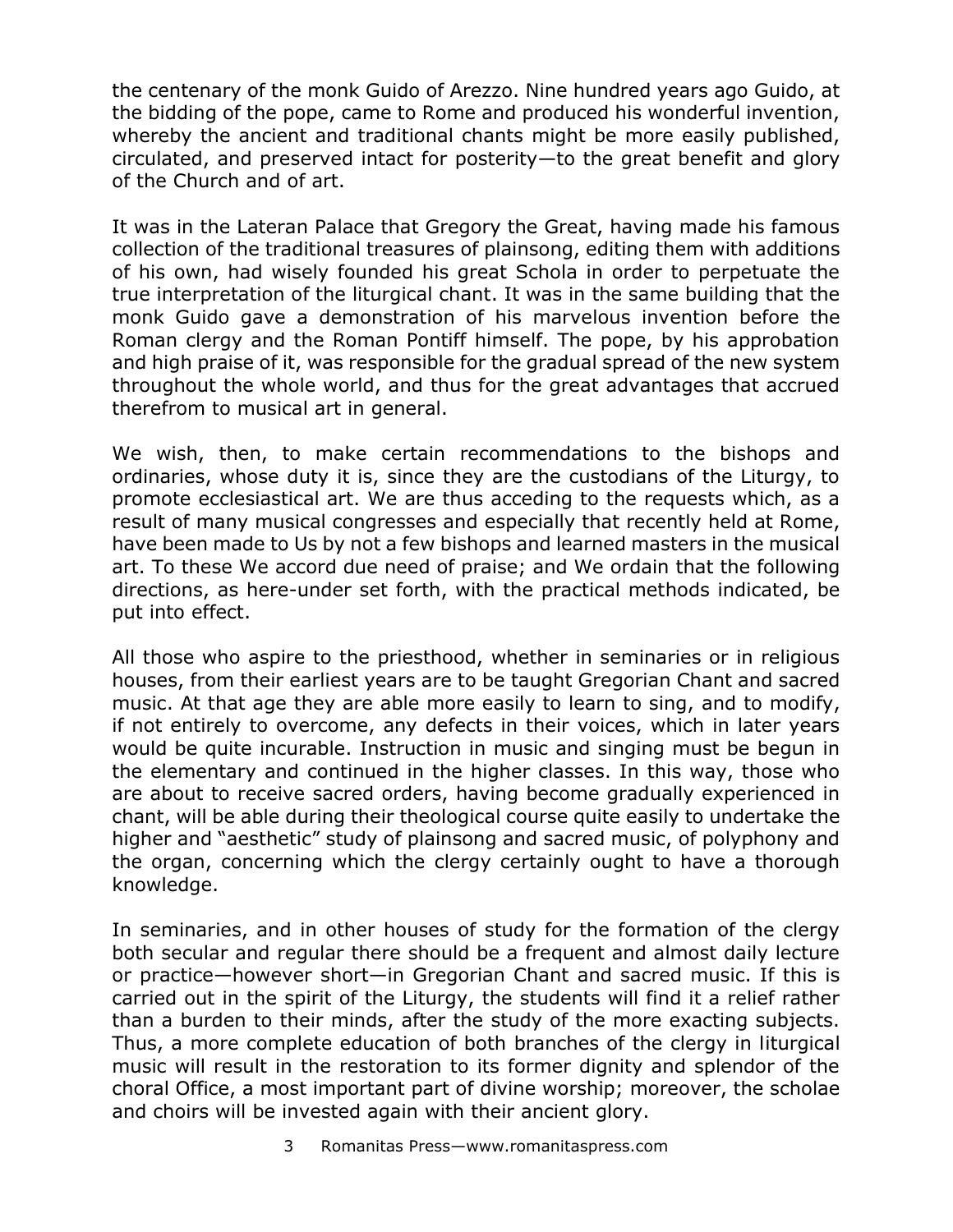the centenary of the monk Guido of Arezzo. Nine hundred years ago Guido, at the bidding of the pope, came to Rome and produced his wonderful invention, whereby the ancient and traditional chants might be more easily published, circulated, and preserved intact for posterity—to the great benefit and glory of the Church and of art.

It was in the Lateran Palace that Gregory the Great, having made his famous collection of the traditional treasures of plainsong, editing them with additions of his own, had wisely founded his great Schola in order to perpetuate the true interpretation of the liturgical chant. It was in the same building that the monk Guido gave a demonstration of his marvelous invention before the Roman clergy and the Roman Pontiff himself. The pope, by his approbation and high praise of it, was responsible for the gradual spread of the new system throughout the whole world, and thus for the great advantages that accrued therefrom to musical art in general.

We wish, then, to make certain recommendations to the bishops and ordinaries, whose duty it is, since they are the custodians of the Liturgy, to promote ecclesiastical art. We are thus acceding to the requests which, as a result of many musical congresses and especially that recently held at Rome, have been made to Us by not a few bishops and learned masters in the musical art. To these We accord due need of praise; and We ordain that the following directions, as here-under set forth, with the practical methods indicated, be put into effect.

All those who aspire to the priesthood, whether in seminaries or in religious houses, from their earliest years are to be taught Gregorian Chant and sacred music. At that age they are able more easily to learn to sing, and to modify, if not entirely to overcome, any defects in their voices, which in later years would be quite incurable. Instruction in music and singing must be begun in the elementary and continued in the higher classes. In this way, those who are about to receive sacred orders, having become gradually experienced in chant, will be able during their theological course quite easily to undertake the higher and "aesthetic" study of plainsong and sacred music, of polyphony and the organ, concerning which the clergy certainly ought to have a thorough knowledge.

In seminaries, and in other houses of study for the formation of the clergy both secular and regular there should be a frequent and almost daily lecture or practice—however short—in Gregorian Chant and sacred music. If this is carried out in the spirit of the Liturgy, the students will find it a relief rather than a burden to their minds, after the study of the more exacting subjects. Thus, a more complete education of both branches of the clergy in liturgical music will result in the restoration to its former dignity and splendor of the choral Office, a most important part of divine worship; moreover, the scholae and choirs will be invested again with their ancient glory.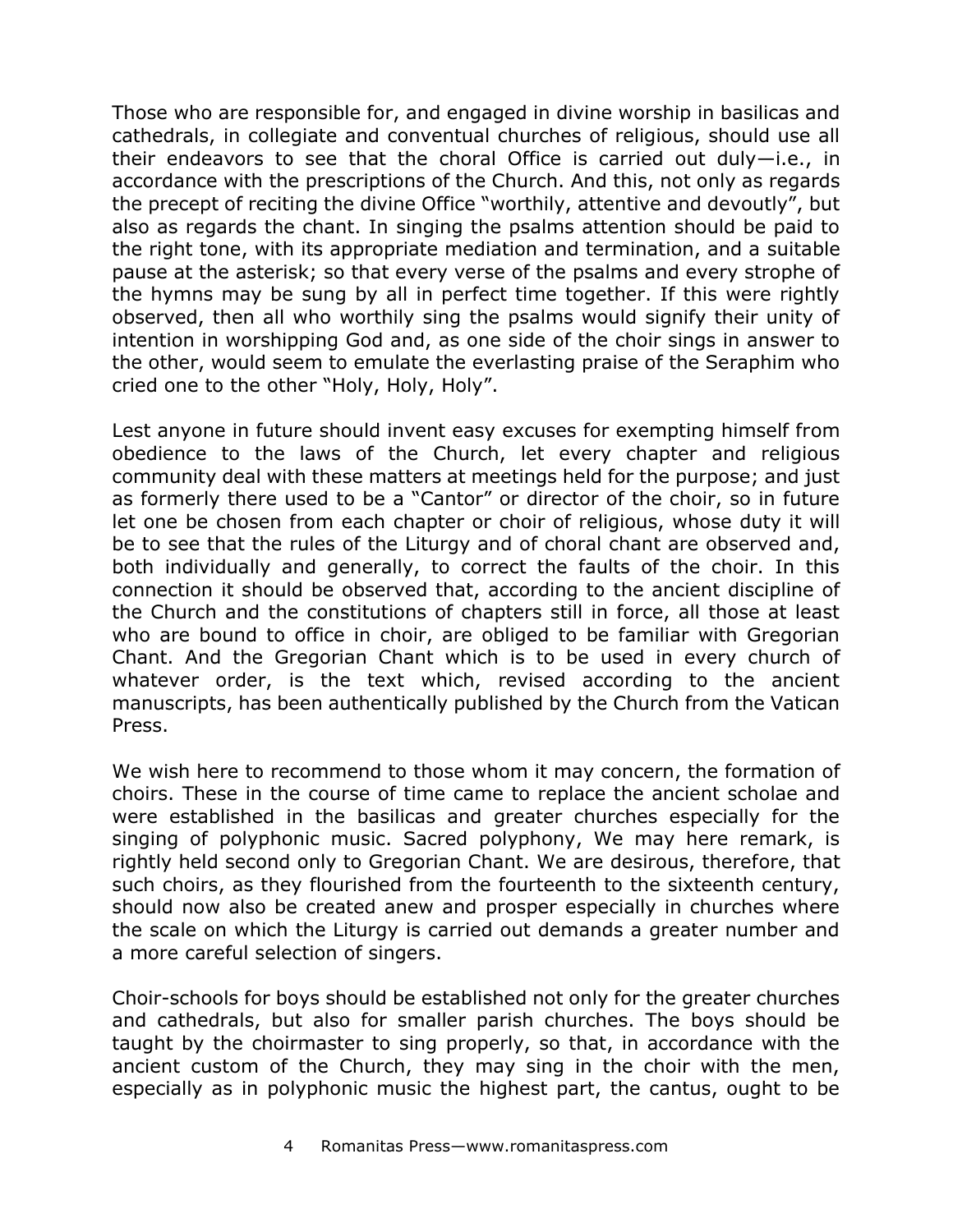Those who are responsible for, and engaged in divine worship in basilicas and cathedrals, in collegiate and conventual churches of religious, should use all their endeavors to see that the choral Office is carried out duly—i.e., in accordance with the prescriptions of the Church. And this, not only as regards the precept of reciting the divine Office "worthily, attentive and devoutly", but also as regards the chant. In singing the psalms attention should be paid to the right tone, with its appropriate mediation and termination, and a suitable pause at the asterisk; so that every verse of the psalms and every strophe of the hymns may be sung by all in perfect time together. If this were rightly observed, then all who worthily sing the psalms would signify their unity of intention in worshipping God and, as one side of the choir sings in answer to the other, would seem to emulate the everlasting praise of the Seraphim who cried one to the other "Holy, Holy, Holy".

Lest anyone in future should invent easy excuses for exempting himself from obedience to the laws of the Church, let every chapter and religious community deal with these matters at meetings held for the purpose; and just as formerly there used to be a "Cantor" or director of the choir, so in future let one be chosen from each chapter or choir of religious, whose duty it will be to see that the rules of the Liturgy and of choral chant are observed and, both individually and generally, to correct the faults of the choir. In this connection it should be observed that, according to the ancient discipline of the Church and the constitutions of chapters still in force, all those at least who are bound to office in choir, are obliged to be familiar with Gregorian Chant. And the Gregorian Chant which is to be used in every church of whatever order, is the text which, revised according to the ancient manuscripts, has been authentically published by the Church from the Vatican Press.

We wish here to recommend to those whom it may concern, the formation of choirs. These in the course of time came to replace the ancient scholae and were established in the basilicas and greater churches especially for the singing of polyphonic music. Sacred polyphony, We may here remark, is rightly held second only to Gregorian Chant. We are desirous, therefore, that such choirs, as they flourished from the fourteenth to the sixteenth century, should now also be created anew and prosper especially in churches where the scale on which the Liturgy is carried out demands a greater number and a more careful selection of singers.

Choir-schools for boys should be established not only for the greater churches and cathedrals, but also for smaller parish churches. The boys should be taught by the choirmaster to sing properly, so that, in accordance with the ancient custom of the Church, they may sing in the choir with the men, especially as in polyphonic music the highest part, the cantus, ought to be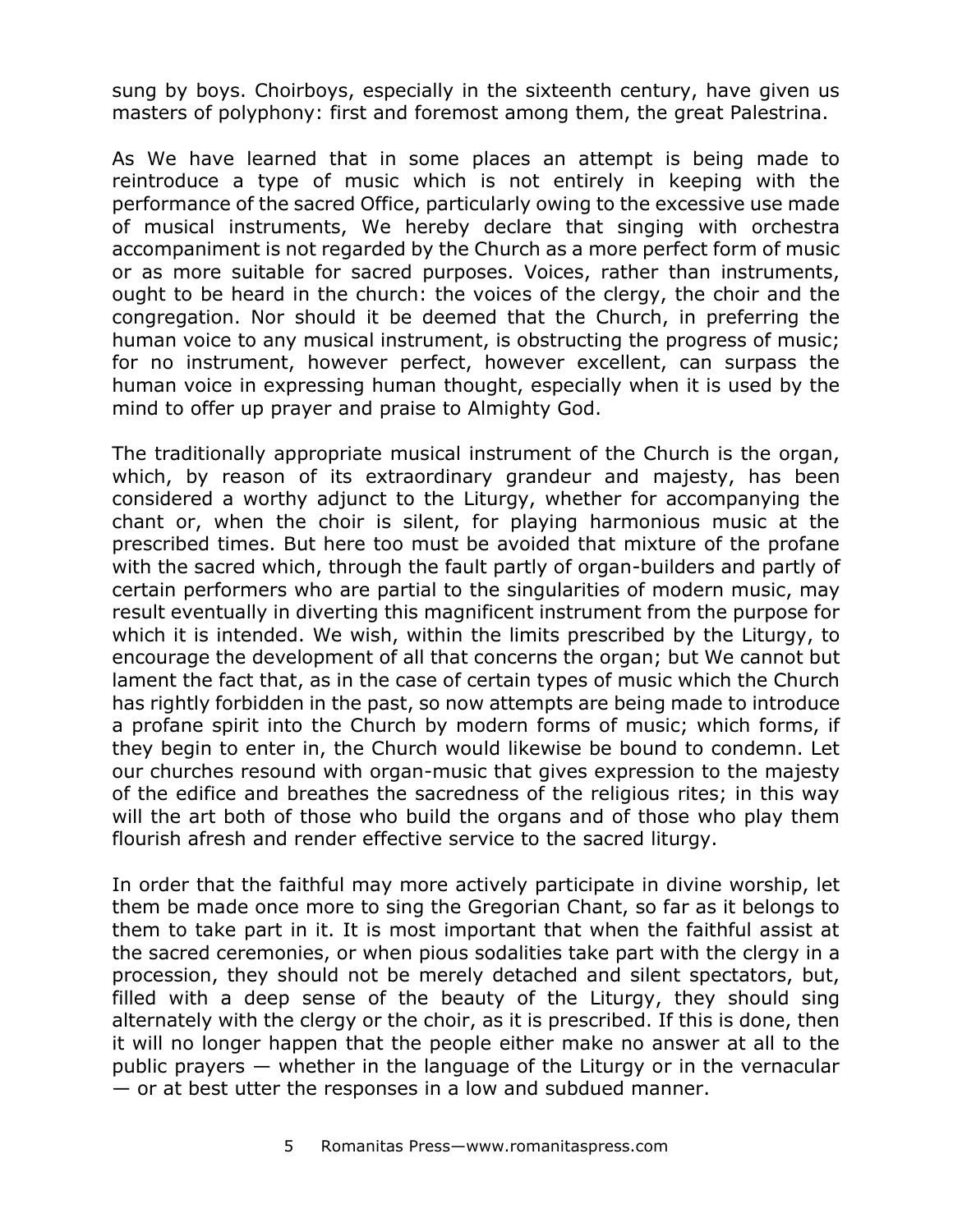sung by boys. Choirboys, especially in the sixteenth century, have given us masters of polyphony: first and foremost among them, the great Palestrina.

As We have learned that in some places an attempt is being made to reintroduce a type of music which is not entirely in keeping with the performance of the sacred Office, particularly owing to the excessive use made of musical instruments, We hereby declare that singing with orchestra accompaniment is not regarded by the Church as a more perfect form of music or as more suitable for sacred purposes. Voices, rather than instruments, ought to be heard in the church: the voices of the clergy, the choir and the congregation. Nor should it be deemed that the Church, in preferring the human voice to any musical instrument, is obstructing the progress of music; for no instrument, however perfect, however excellent, can surpass the human voice in expressing human thought, especially when it is used by the mind to offer up prayer and praise to Almighty God.

The traditionally appropriate musical instrument of the Church is the organ, which, by reason of its extraordinary grandeur and majesty, has been considered a worthy adjunct to the Liturgy, whether for accompanying the chant or, when the choir is silent, for playing harmonious music at the prescribed times. But here too must be avoided that mixture of the profane with the sacred which, through the fault partly of organ-builders and partly of certain performers who are partial to the singularities of modern music, may result eventually in diverting this magnificent instrument from the purpose for which it is intended. We wish, within the limits prescribed by the Liturgy, to encourage the development of all that concerns the organ; but We cannot but lament the fact that, as in the case of certain types of music which the Church has rightly forbidden in the past, so now attempts are being made to introduce a profane spirit into the Church by modern forms of music; which forms, if they begin to enter in, the Church would likewise be bound to condemn. Let our churches resound with organ-music that gives expression to the majesty of the edifice and breathes the sacredness of the religious rites; in this way will the art both of those who build the organs and of those who play them flourish afresh and render effective service to the sacred liturgy.

In order that the faithful may more actively participate in divine worship, let them be made once more to sing the Gregorian Chant, so far as it belongs to them to take part in it. It is most important that when the faithful assist at the sacred ceremonies, or when pious sodalities take part with the clergy in a procession, they should not be merely detached and silent spectators, but, filled with a deep sense of the beauty of the Liturgy, they should sing alternately with the clergy or the choir, as it is prescribed. If this is done, then it will no longer happen that the people either make no answer at all to the public prayers — whether in the language of the Liturgy or in the vernacular — or at best utter the responses in a low and subdued manner.